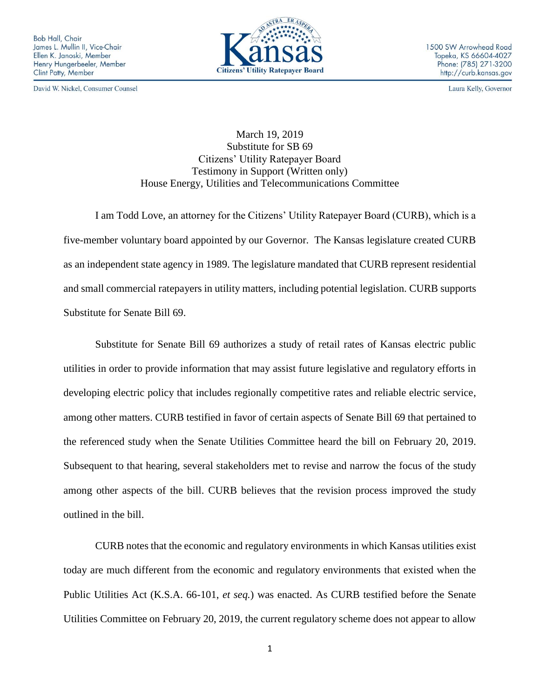**Bob Hall, Chair** James L. Mullin II, Vice-Chair Ellen K. Janoski, Member Henry Hungerbeeler, Member Clint Patty, Member

David W. Nickel, Consumer Counsel



Laura Kelly, Governor

March 19, 2019 Substitute for SB 69 Citizens' Utility Ratepayer Board Testimony in Support (Written only) House Energy, Utilities and Telecommunications Committee

I am Todd Love, an attorney for the Citizens' Utility Ratepayer Board (CURB), which is a five-member voluntary board appointed by our Governor. The Kansas legislature created CURB as an independent state agency in 1989. The legislature mandated that CURB represent residential and small commercial ratepayers in utility matters, including potential legislation. CURB supports Substitute for Senate Bill 69.

Substitute for Senate Bill 69 authorizes a study of retail rates of Kansas electric public utilities in order to provide information that may assist future legislative and regulatory efforts in developing electric policy that includes regionally competitive rates and reliable electric service, among other matters. CURB testified in favor of certain aspects of Senate Bill 69 that pertained to the referenced study when the Senate Utilities Committee heard the bill on February 20, 2019. Subsequent to that hearing, several stakeholders met to revise and narrow the focus of the study among other aspects of the bill. CURB believes that the revision process improved the study outlined in the bill.

CURB notes that the economic and regulatory environments in which Kansas utilities exist today are much different from the economic and regulatory environments that existed when the Public Utilities Act (K.S.A. 66-101, *et seq.*) was enacted. As CURB testified before the Senate Utilities Committee on February 20, 2019, the current regulatory scheme does not appear to allow